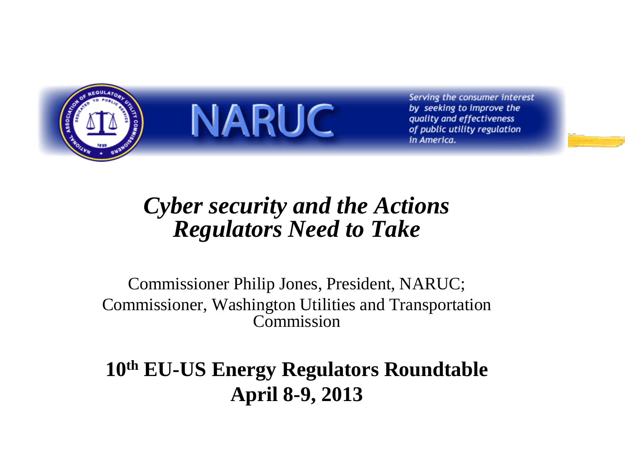

**NARUC** 

Serving the consumer interest by seeking to improve the quality and effectiveness of public utility regulation in America.

### *Cyber security and the Actions Regulators Need to Take*

Commissioner Philip Jones, President, NARUC; Commissioner, Washington Utilities and Transportation Commission

**10th EU-US Energy Regulators Roundtable April 8-9, 2013**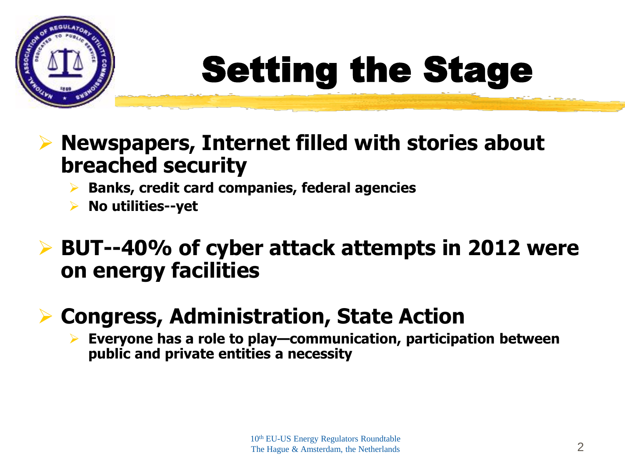

# Setting the Stage

- **Newspapers, Internet filled with stories about breached security**
	- **Banks, credit card companies, federal agencies**
	- **No utilities--yet**

### **BUT--40% of cyber attack attempts in 2012 were on energy facilities**

### **Congress, Administration, State Action**

 **Everyone has a role to play—communication, participation between public and private entities a necessity**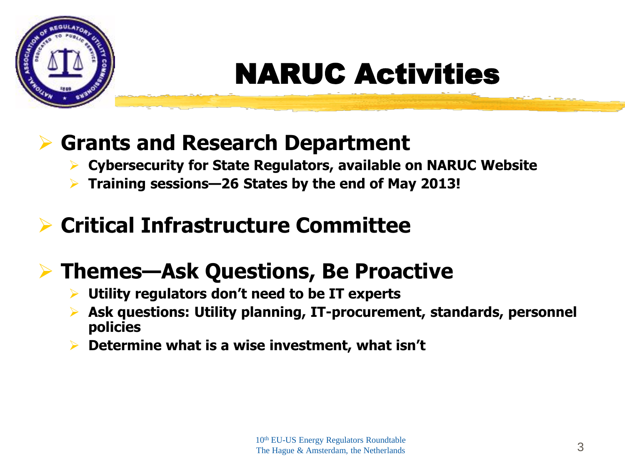

## NARUC Activities

### **Grants and Research Department**

- **Cybersecurity for State Regulators, available on NARUC Website**
- **Training sessions—26 States by the end of May 2013!**

### **Critical Infrastructure Committee**

### **Themes—Ask Questions, Be Proactive**

- **Utility regulators don't need to be IT experts**
- **Ask questions: Utility planning, IT-procurement, standards, personnel policies**
- **Determine what is a wise investment, what isn't**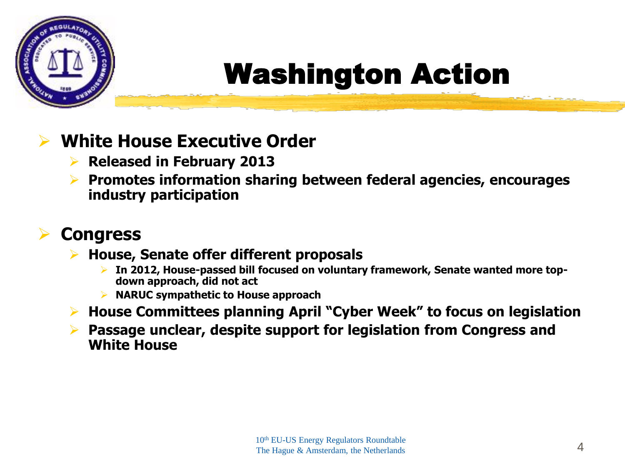

## Washington Action

#### **White House Executive Order**

- **Released in February 2013**
- **Promotes information sharing between federal agencies, encourages industry participation**

#### **Congress**

- **House, Senate offer different proposals**
	- **In 2012, House-passed bill focused on voluntary framework, Senate wanted more topdown approach, did not act**
	- **NARUC sympathetic to House approach**
- **House Committees planning April "Cyber Week" to focus on legislation**
- **Passage unclear, despite support for legislation from Congress and White House**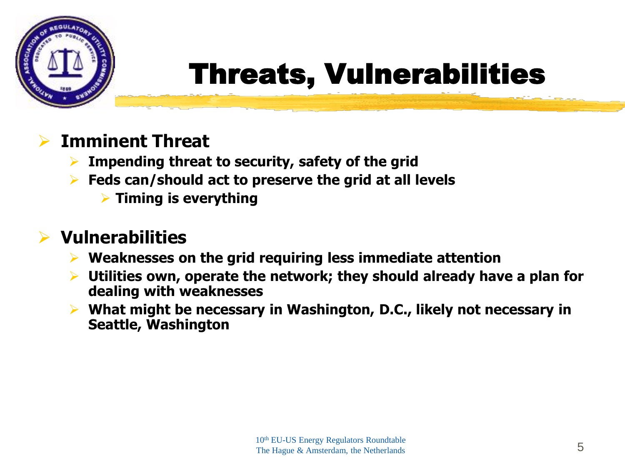

## Threats, Vulnerabilities

#### **Imminent Threat**

- **Impending threat to security, safety of the grid**
- **Feds can/should act to preserve the grid at all levels**
	- **Timing is everything**

#### **Vulnerabilities**

- **Weaknesses on the grid requiring less immediate attention**
- **Utilities own, operate the network; they should already have a plan for dealing with weaknesses**
- **What might be necessary in Washington, D.C., likely not necessary in Seattle, Washington**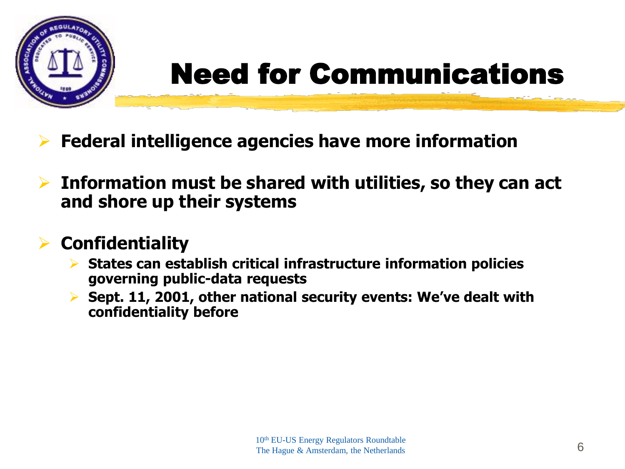

## Need for Communications

- **Federal intelligence agencies have more information**
- **Information must be shared with utilities, so they can act and shore up their systems**

#### **Confidentiality**

- **States can establish critical infrastructure information policies governing public-data requests**
- **Sept. 11, 2001, other national security events: We've dealt with confidentiality before**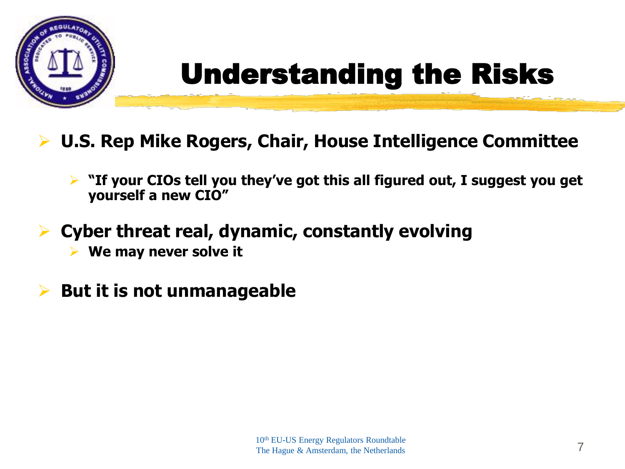

## Understanding the Risks

- **U.S. Rep Mike Rogers, Chair, House Intelligence Committee**
	- **"If your CIOs tell you they've got this all figured out, I suggest you get yourself a new CIO"**
- **Cyber threat real, dynamic, constantly evolving**
	- **We may never solve it**
- **But it is not unmanageable**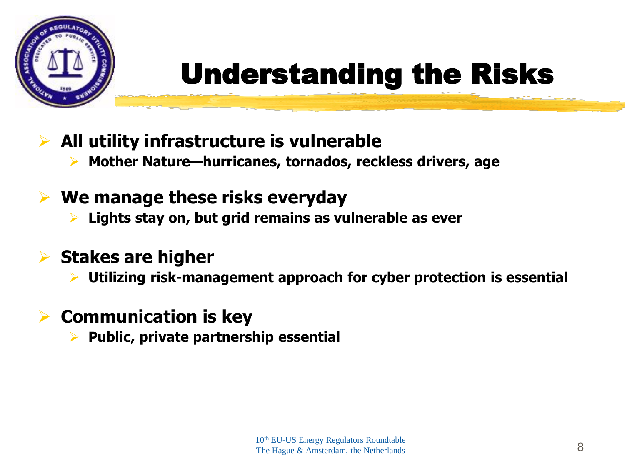

## Understanding the Risks

- **All utility infrastructure is vulnerable**
	- **Mother Nature—hurricanes, tornados, reckless drivers, age**

### **We manage these risks everyday**

**Lights stay on, but grid remains as vulnerable as ever**

#### **Stakes are higher**

**Utilizing risk-management approach for cyber protection is essential**

#### **Communication is key**

**Public, private partnership essential**